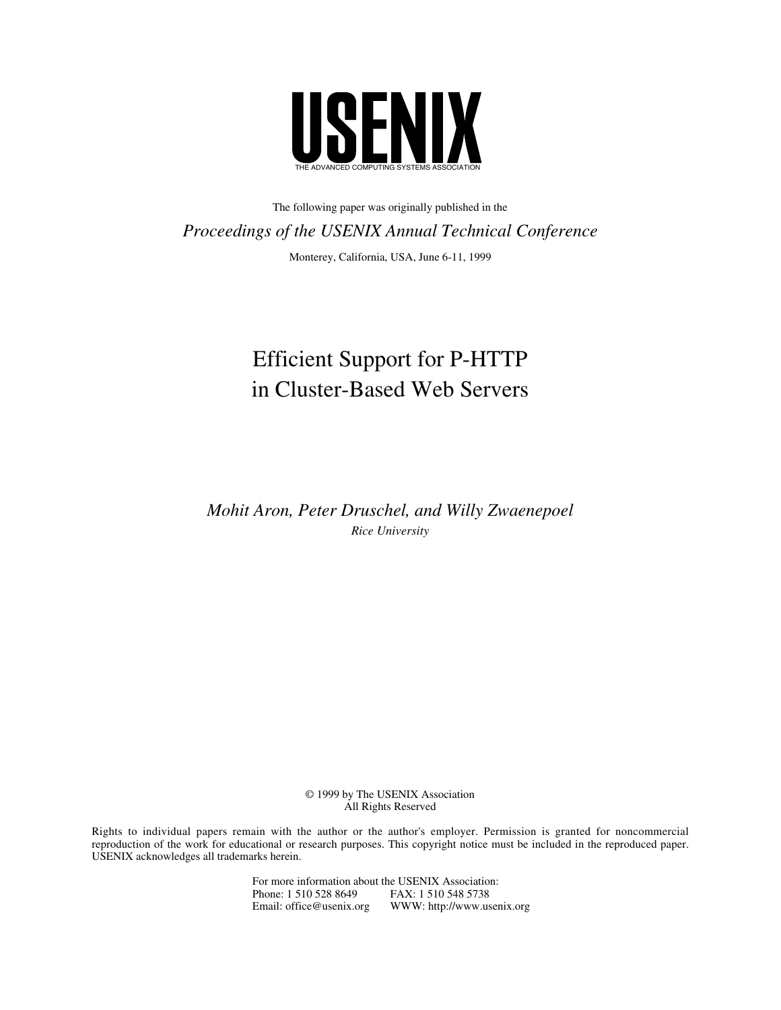

The following paper was originally published in the *Proceedings of the USENIX Annual Technical Conference* Monterey, California, USA, June 6-11, 1999

# Efficient Support for P-HTTP in Cluster-Based Web Servers

*Mohit Aron, Peter Druschel, and Willy Zwaenepoel Rice University*

> © 1999 by The USENIX Association All Rights Reserved

Rights to individual papers remain with the author or the author's employer. Permission is granted for noncommercial reproduction of the work for educational or research purposes. This copyright notice must be included in the reproduced paper. USENIX acknowledges all trademarks herein.

> For more information about the USENIX Association: Phone: 1 510 528 8649 FAX: 1 510 548 5738<br>Email: office@usenix.org WWW: http://www.us WWW: http://www.usenix.org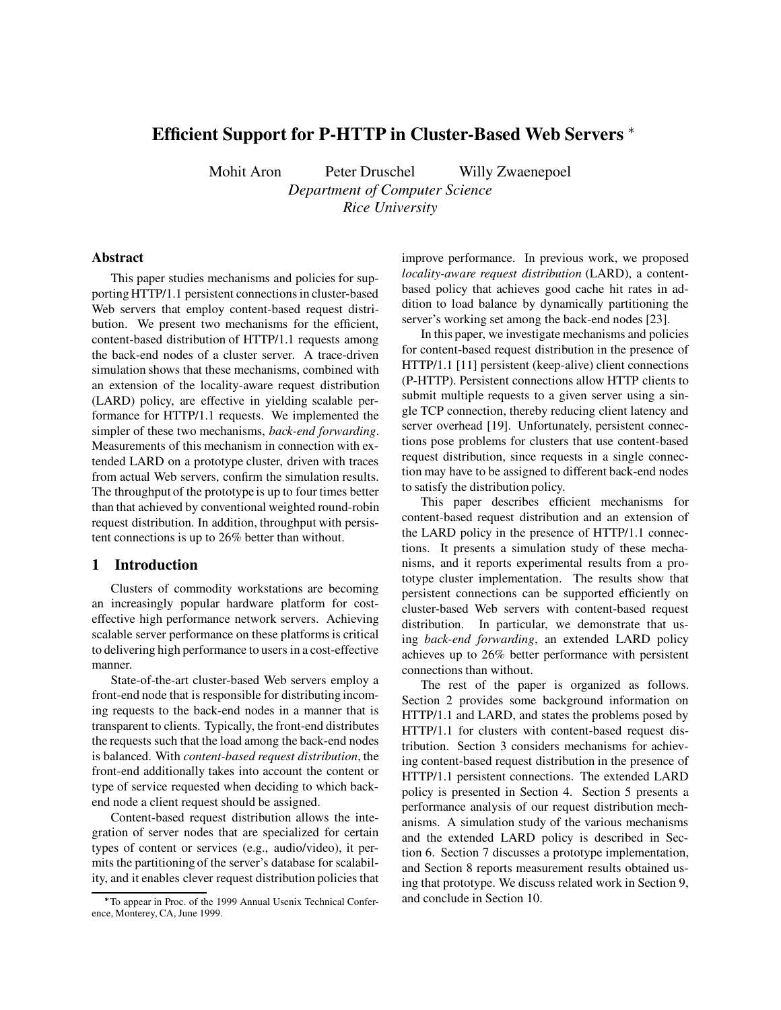# **Efficient Support for P-HTTP in Cluster-Based Web Servers**

Mohit Aron Peter Druschel Willy Zwaenepoel

*Department of Computer Science Rice University*

### **Abstract**

This paper studies mechanisms and policies for supporting HTTP/1.1 persistent connections in cluster-based Web servers that employ content-based request distribution. We present two mechanisms for the efficient, content-based distribution of HTTP/1.1 requests among the back-end nodes of a cluster server. A trace-driven simulation shows that these mechanisms, combined with an extension of the locality-aware request distribution (LARD) policy, are effective in yielding scalable performance for HTTP/1.1 requests. We implemented the simpler of these two mechanisms, *back-end forwarding*. Measurements of this mechanism in connection with extended LARD on a prototype cluster, driven with traces from actual Web servers, confirm the simulation results. The throughput of the prototype is up to four times better than that achieved by conventional weighted round-robin request distribution. In addition, throughput with persistent connections is up to 26% better than without.

### **1 Introduction**

Clusters of commodity workstations are becoming an increasingly popular hardware platform for costeffective high performance network servers. Achieving scalable server performance on these platforms is critical to delivering high performance to users in a cost-effective manner.

State-of-the-art cluster-based Web servers employ a front-end node that is responsible for distributing incoming requests to the back-end nodes in a manner that is transparent to clients. Typically, the front-end distributes the requests such that the load among the back-end nodes is balanced. With *content-based request distribution*, the front-end additionally takes into account the content or type of service requested when deciding to which backend node a client request should be assigned.

Content-based request distribution allows the integration of server nodes that are specialized for certain types of content or services (e.g., audio/video), it permits the partitioning of the server's database for scalability, and it enables clever request distribution policies that improve performance. In previous work, we proposed *locality-aware request distribution* (LARD), a contentbased policy that achieves good cache hit rates in addition to load balance by dynamically partitioning the server's working set among the back-end nodes [23].

In this paper, we investigate mechanisms and policies for content-based request distribution in the presence of HTTP/1.1 [11] persistent (keep-alive) client connections (P-HTTP). Persistent connections allow HTTP clients to submit multiple requests to a given server using a single TCP connection, thereby reducing client latency and server overhead [19]. Unfortunately, persistent connections pose problems for clusters that use content-based request distribution, since requests in a single connection may have to be assigned to different back-end nodes to satisfy the distribution policy.

This paper describes efficient mechanisms for content-based request distribution and an extension of the LARD policy in the presence of HTTP/1.1 connections. It presents a simulation study of these mechanisms, and it reports experimental results from a prototype cluster implementation. The results show that persistent connections can be supported efficiently on cluster-based Web servers with content-based request distribution. In particular, we demonstrate that using *back-end forwarding*, an extended LARD policy achieves up to 26% better performance with persistent connections than without.

The rest of the paper is organized as follows. Section 2 provides some background information on HTTP/1.1 and LARD, and states the problems posed by HTTP/1.1 for clusters with content-based request distribution. Section 3 considers mechanisms for achieving content-based request distribution in the presence of HTTP/1.1 persistent connections. The extended LARD policy is presented in Section 4. Section 5 presents a performance analysis of our request distribution mechanisms. A simulation study of the various mechanisms and the extended LARD policy is described in Section 6. Section 7 discusses a prototype implementation, and Section 8 reports measurement results obtained using that prototype. We discuss related work in Section 9, and conclude in Section 10.

To appear in Proc. of the 1999 Annual Usenix Technical Conference, Monterey, CA, June 1999.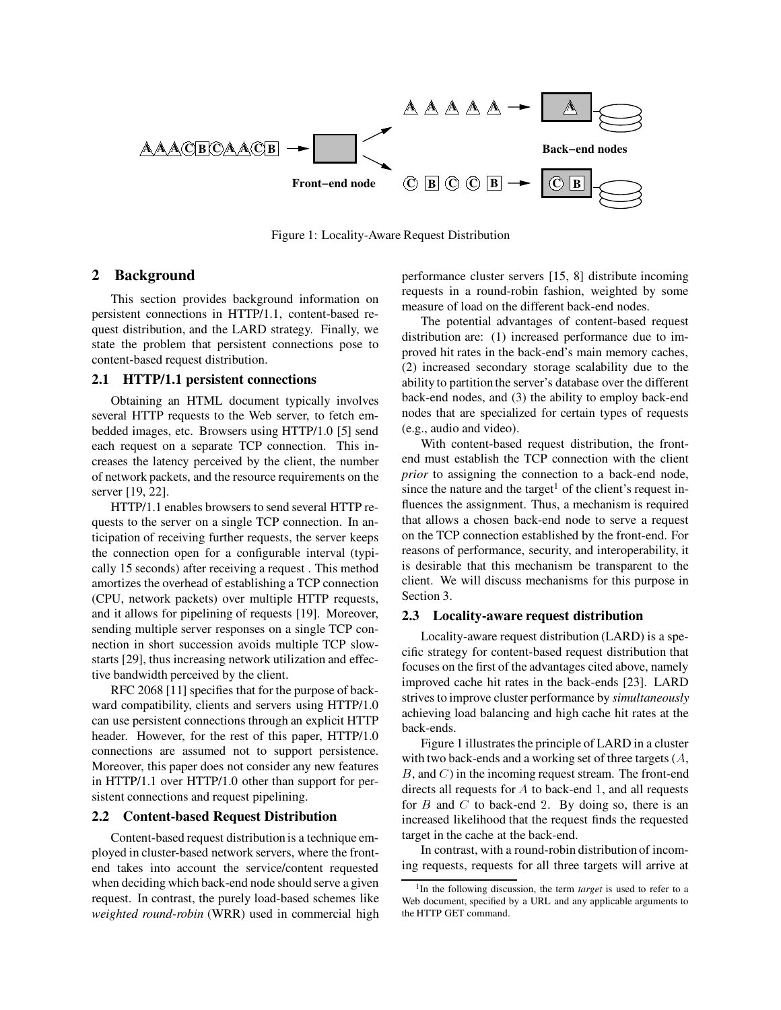

Figure 1: Locality-Aware Request Distribution

# **2 Background**

This section provides background information on persistent connections in HTTP/1.1, content-based request distribution, and the LARD strategy. Finally, we state the problem that persistent connections pose to content-based request distribution.

### **2.1 HTTP/1.1 persistent connections**

Obtaining an HTML document typically involves several HTTP requests to the Web server, to fetch embedded images, etc. Browsers using HTTP/1.0 [5] send each request on a separate TCP connection. This increases the latency perceived by the client, the number of network packets, and the resource requirements on the server [19, 22].

HTTP/1.1 enables browsers to send several HTTP requests to the server on a single TCP connection. In anticipation of receiving further requests, the server keeps the connection open for a configurable interval (typically 15 seconds) after receiving a request . This method amortizes the overhead of establishing a TCP connection (CPU, network packets) over multiple HTTP requests, and it allows for pipelining of requests [19]. Moreover, sending multiple server responses on a single TCP connection in short succession avoids multiple TCP slowstarts [29], thus increasing network utilization and effective bandwidth perceived by the client.

RFC 2068 [11] specifies that for the purpose of backward compatibility, clients and servers using HTTP/1.0 can use persistent connections through an explicit HTTP header. However, for the rest of this paper, HTTP/1.0 connections are assumed not to support persistence. Moreover, this paper does not consider any new features in HTTP/1.1 over HTTP/1.0 other than support for persistent connections and request pipelining.

### **2.2 Content-based Request Distribution**

Content-based request distribution is a technique employed in cluster-based network servers, where the frontend takes into account the service/content requested when deciding which back-end node should serve a given request. In contrast, the purely load-based schemes like *weighted round-robin* (WRR) used in commercial high performance cluster servers [15, 8] distribute incoming requests in a round-robin fashion, weighted by some measure of load on the different back-end nodes.

The potential advantages of content-based request distribution are: (1) increased performance due to improved hit rates in the back-end's main memory caches, (2) increased secondary storage scalability due to the ability to partition the server's database over the different back-end nodes, and (3) the ability to employ back-end nodes that are specialized for certain types of requests (e.g., audio and video).

With content-based request distribution, the frontend must establish the TCP connection with the client *prior* to assigning the connection to a back-end node, since the nature and the target<sup>1</sup> of the client's request influences the assignment. Thus, a mechanism is required that allows a chosen back-end node to serve a request on the TCP connection established by the front-end. For reasons of performance, security, and interoperability, it is desirable that this mechanism be transparent to the client. We will discuss mechanisms for this purpose in Section 3.

### **2.3 Locality-aware request distribution**

Locality-aware request distribution (LARD) is a specific strategy for content-based request distribution that focuses on the first of the advantages cited above, namely improved cache hit rates in the back-ends [23]. LARD strives to improve cluster performance by *simultaneously* achieving load balancing and high cache hit rates at the back-ends.

Figure 1 illustrates the principle of LARD in a cluster with two back-ends and a working set of three targets (A,  $B$ , and  $C$ ) in the incoming request stream. The front-end directs all requests for A to back-end <sup>1</sup>, and all requests for  $B$  and  $C$  to back-end 2. By doing so, there is an increased likelihood that the request finds the requested target in the cache at the back-end.

In contrast, with a round-robin distribution of incoming requests, requests for all three targets will arrive at

<sup>&</sup>lt;sup>1</sup>In the following discussion, the term *target* is used to refer to a Web document, specified by a URL and any applicable arguments to the HTTP GET command.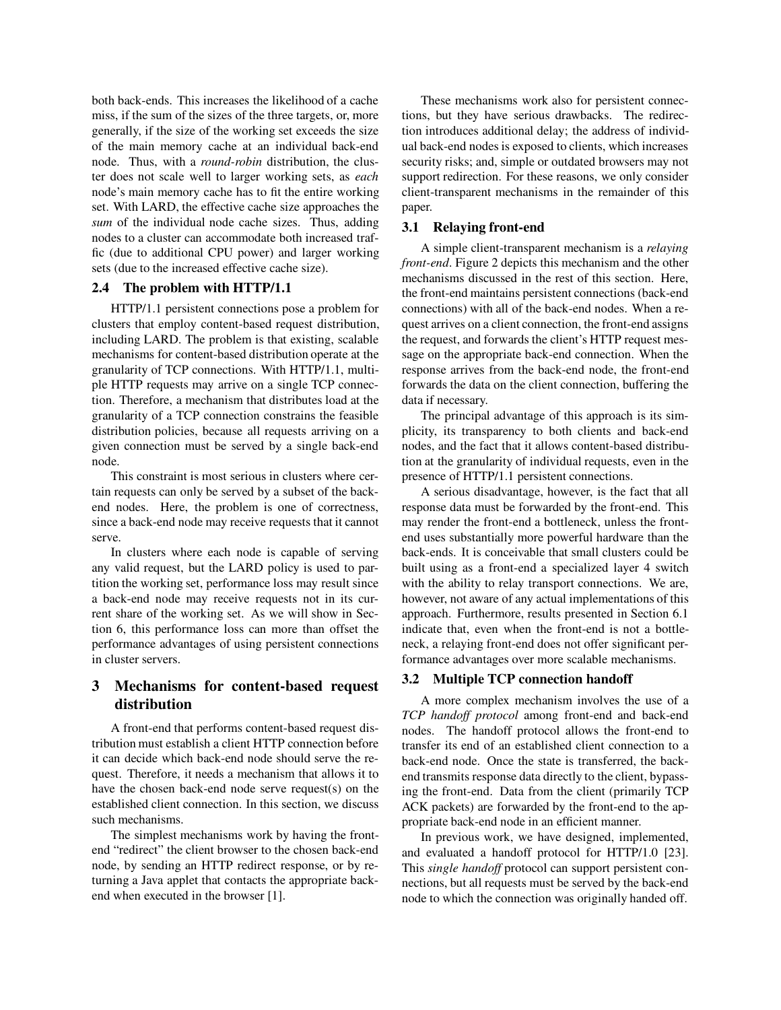both back-ends. This increases the likelihood of a cache miss, if the sum of the sizes of the three targets, or, more generally, if the size of the working set exceeds the size of the main memory cache at an individual back-end node. Thus, with a *round-robin* distribution, the cluster does not scale well to larger working sets, as *each* node's main memory cache has to fit the entire working set. With LARD, the effective cache size approaches the *sum* of the individual node cache sizes. Thus, adding nodes to a cluster can accommodate both increased traffic (due to additional CPU power) and larger working sets (due to the increased effective cache size).

### **2.4 The problem with HTTP/1.1**

HTTP/1.1 persistent connections pose a problem for clusters that employ content-based request distribution, including LARD. The problem is that existing, scalable mechanisms for content-based distribution operate at the granularity of TCP connections. With HTTP/1.1, multiple HTTP requests may arrive on a single TCP connection. Therefore, a mechanism that distributes load at the granularity of a TCP connection constrains the feasible distribution policies, because all requests arriving on a given connection must be served by a single back-end node.

This constraint is most serious in clusters where certain requests can only be served by a subset of the backend nodes. Here, the problem is one of correctness, since a back-end node may receive requests that it cannot serve.

In clusters where each node is capable of serving any valid request, but the LARD policy is used to partition the working set, performance loss may result since a back-end node may receive requests not in its current share of the working set. As we will show in Section 6, this performance loss can more than offset the performance advantages of using persistent connections in cluster servers.

# **3 Mechanisms for content-based request distribution**

A front-end that performs content-based request distribution must establish a client HTTP connection before it can decide which back-end node should serve the request. Therefore, it needs a mechanism that allows it to have the chosen back-end node serve request(s) on the established client connection. In this section, we discuss such mechanisms.

The simplest mechanisms work by having the frontend "redirect" the client browser to the chosen back-end node, by sending an HTTP redirect response, or by returning a Java applet that contacts the appropriate backend when executed in the browser [1].

These mechanisms work also for persistent connections, but they have serious drawbacks. The redirection introduces additional delay; the address of individual back-end nodes is exposed to clients, which increases security risks; and, simple or outdated browsers may not support redirection. For these reasons, we only consider client-transparent mechanisms in the remainder of this paper.

### **3.1 Relaying front-end**

A simple client-transparent mechanism is a *relaying front-end*. Figure 2 depicts this mechanism and the other mechanisms discussed in the rest of this section. Here, the front-end maintains persistent connections (back-end connections) with all of the back-end nodes. When a request arrives on a client connection, the front-end assigns the request, and forwards the client's HTTP request message on the appropriate back-end connection. When the response arrives from the back-end node, the front-end forwards the data on the client connection, buffering the data if necessary.

The principal advantage of this approach is its simplicity, its transparency to both clients and back-end nodes, and the fact that it allows content-based distribution at the granularity of individual requests, even in the presence of HTTP/1.1 persistent connections.

A serious disadvantage, however, is the fact that all response data must be forwarded by the front-end. This may render the front-end a bottleneck, unless the frontend uses substantially more powerful hardware than the back-ends. It is conceivable that small clusters could be built using as a front-end a specialized layer 4 switch with the ability to relay transport connections. We are, however, not aware of any actual implementations of this approach. Furthermore, results presented in Section 6.1 indicate that, even when the front-end is not a bottleneck, a relaying front-end does not offer significant performance advantages over more scalable mechanisms.

# **3.2 Multiple TCP connection handoff**

A more complex mechanism involves the use of a *TCP handoff protocol* among front-end and back-end nodes. The handoff protocol allows the front-end to transfer its end of an established client connection to a back-end node. Once the state is transferred, the backend transmits response data directly to the client, bypassing the front-end. Data from the client (primarily TCP ACK packets) are forwarded by the front-end to the appropriate back-end node in an efficient manner.

In previous work, we have designed, implemented, and evaluated a handoff protocol for HTTP/1.0 [23]. This *single handoff* protocol can support persistent connections, but all requests must be served by the back-end node to which the connection was originally handed off.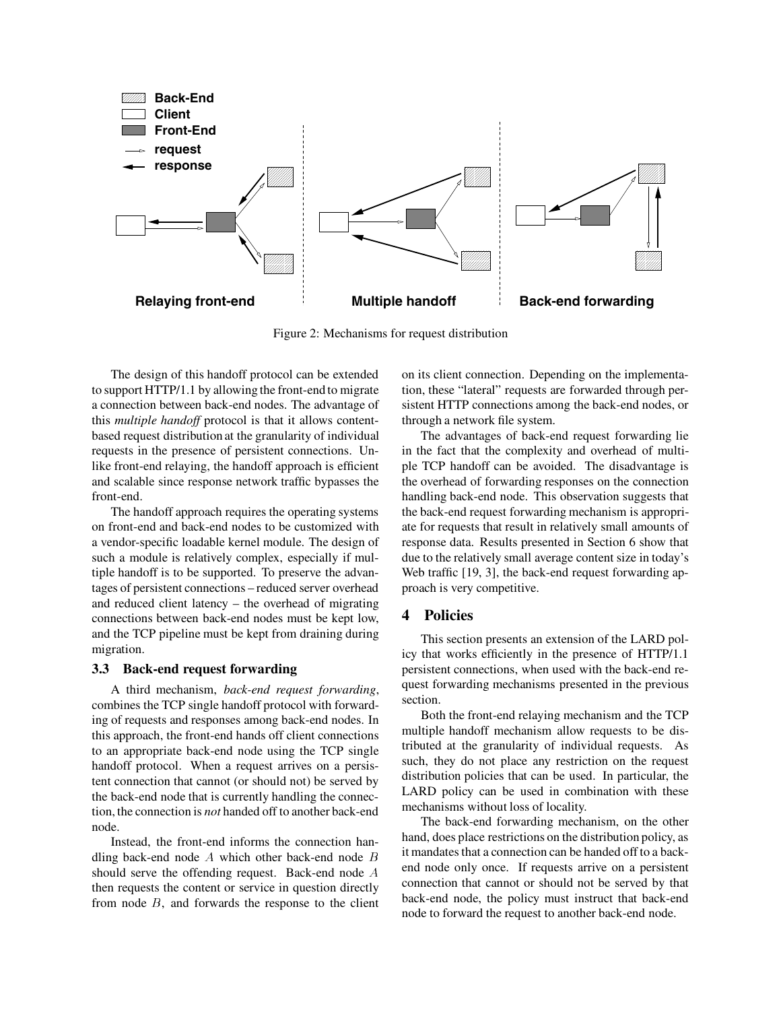

Figure 2: Mechanisms for request distribution

The design of this handoff protocol can be extended to support HTTP/1.1 by allowing the front-end to migrate a connection between back-end nodes. The advantage of this *multiple handoff* protocol is that it allows contentbased request distribution at the granularity of individual requests in the presence of persistent connections. Unlike front-end relaying, the handoff approach is efficient and scalable since response network traffic bypasses the front-end.

The handoff approach requires the operating systems on front-end and back-end nodes to be customized with a vendor-specific loadable kernel module. The design of such a module is relatively complex, especially if multiple handoff is to be supported. To preserve the advantages of persistent connections – reduced server overhead and reduced client latency – the overhead of migrating connections between back-end nodes must be kept low, and the TCP pipeline must be kept from draining during migration.

### **3.3 Back-end request forwarding**

A third mechanism, *back-end request forwarding*, combines the TCP single handoff protocol with forwarding of requests and responses among back-end nodes. In this approach, the front-end hands off client connections to an appropriate back-end node using the TCP single handoff protocol. When a request arrives on a persistent connection that cannot (or should not) be served by the back-end node that is currently handling the connection, the connection is *not* handed off to another back-end node.

Instead, the front-end informs the connection handling back-end node  $A$  which other back-end node  $B$ should serve the offending request. Back-end node A then requests the content or service in question directly from node  $B$ , and forwards the response to the client on its client connection. Depending on the implementation, these "lateral" requests are forwarded through persistent HTTP connections among the back-end nodes, or through a network file system.

The advantages of back-end request forwarding lie in the fact that the complexity and overhead of multiple TCP handoff can be avoided. The disadvantage is the overhead of forwarding responses on the connection handling back-end node. This observation suggests that the back-end request forwarding mechanism is appropriate for requests that result in relatively small amounts of response data. Results presented in Section 6 show that due to the relatively small average content size in today's Web traffic [19, 3], the back-end request forwarding approach is very competitive.

### **4 Policies**

This section presents an extension of the LARD policy that works efficiently in the presence of HTTP/1.1 persistent connections, when used with the back-end request forwarding mechanisms presented in the previous section.

Both the front-end relaying mechanism and the TCP multiple handoff mechanism allow requests to be distributed at the granularity of individual requests. As such, they do not place any restriction on the request distribution policies that can be used. In particular, the LARD policy can be used in combination with these mechanisms without loss of locality.

The back-end forwarding mechanism, on the other hand, does place restrictions on the distribution policy, as it mandates that a connection can be handed off to a backend node only once. If requests arrive on a persistent connection that cannot or should not be served by that back-end node, the policy must instruct that back-end node to forward the request to another back-end node.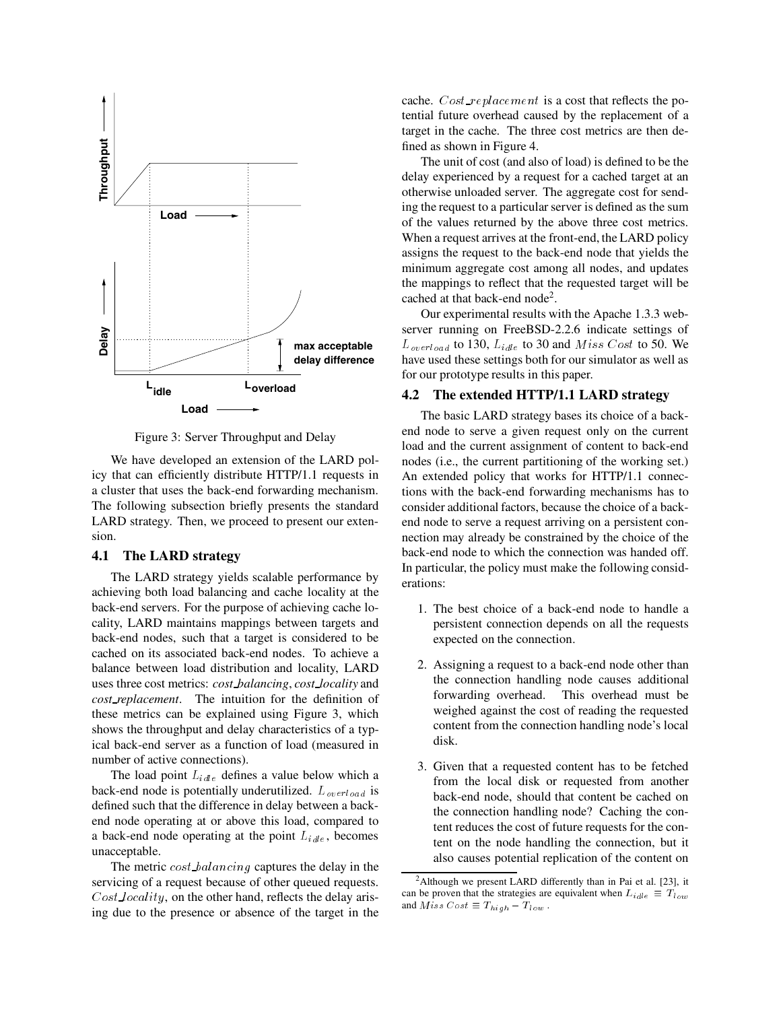

Figure 3: Server Throughput and Delay

We have developed an extension of the LARD policy that can efficiently distribute HTTP/1.1 requests in a cluster that uses the back-end forwarding mechanism. The following subsection briefly presents the standard LARD strategy. Then, we proceed to present our extension.

### **4.1 The LARD strategy**

The LARD strategy yields scalable performance by achieving both load balancing and cache locality at the back-end servers. For the purpose of achieving cache locality, LARD maintains mappings between targets and back-end nodes, such that a target is considered to be cached on its associated back-end nodes. To achieve a balance between load distribution and locality, LARD uses three cost metrics: *cost balancing*, *cost locality* and *cost replacement*. The intuition for the definition of these metrics can be explained using Figure 3, which shows the throughput and delay characteristics of a typical back-end server as a function of load (measured in number of active connections).

The load point  $L_{idle}$  defines a value below which a back-end node is potentially underutilized.  $L_{\text{overload}}$  is defined such that the difference in delay between a backend node operating at or above this load, compared to a back-end node operating at the point  $L_{idle}$ , becomes unacceptable.

The metric cost balancing captures the delay in the servicing of a request because of other queued requests. Cost locality, on the other hand, reflects the delay arising due to the presence or absence of the target in the cache.  $Cost\_replacement$  is a cost that reflects the potential future overhead caused by the replacement of a target in the cache. The three cost metrics are then defined as shown in Figure 4.

The unit of cost (and also of load) is defined to be the delay experienced by a request for a cached target at an otherwise unloaded server. The aggregate cost for sending the request to a particular server is defined as the sum of the values returned by the above three cost metrics. When a request arrives at the front-end, the LARD policy assigns the request to the back-end node that yields the minimum aggregate cost among all nodes, and updates the mappings to reflect that the requested target will be cached at that back-end node<sup>2</sup>.

Our experimental results with the Apache 1.3.3 webserver running on FreeBSD-2.2.6 indicate settings of  $L_{\text{overload}}$  to 130,  $L_{\text{idle}}$  to 30 and  $\text{Miss Cost}$  to 50. We have used these settings both for our simulator as well as for our prototype results in this paper.

#### **4.2 The extended HTTP/1.1 LARD strategy**

The basic LARD strategy bases its choice of a backend node to serve a given request only on the current load and the current assignment of content to back-end nodes (i.e., the current partitioning of the working set.) An extended policy that works for HTTP/1.1 connections with the back-end forwarding mechanisms has to consider additional factors, because the choice of a backend node to serve a request arriving on a persistent connection may already be constrained by the choice of the back-end node to which the connection was handed off. In particular, the policy must make the following considerations:

- 1. The best choice of a back-end node to handle a persistent connection depends on all the requests expected on the connection.
- 2. Assigning a request to a back-end node other than the connection handling node causes additional forwarding overhead. This overhead must be weighed against the cost of reading the requested content from the connection handling node's local disk.
- 3. Given that a requested content has to be fetched from the local disk or requested from another back-end node, should that content be cached on the connection handling node? Caching the content reduces the cost of future requests for the content on the node handling the connection, but it also causes potential replication of the content on

<sup>2</sup>Although we present LARD differently than in Pai et al. [23], it can be proven that the strategies are equivalent when  $L_{idle} \equiv T_{low}$ and  $Miss \; Cost \equiv T_{high} - T_{low}$ .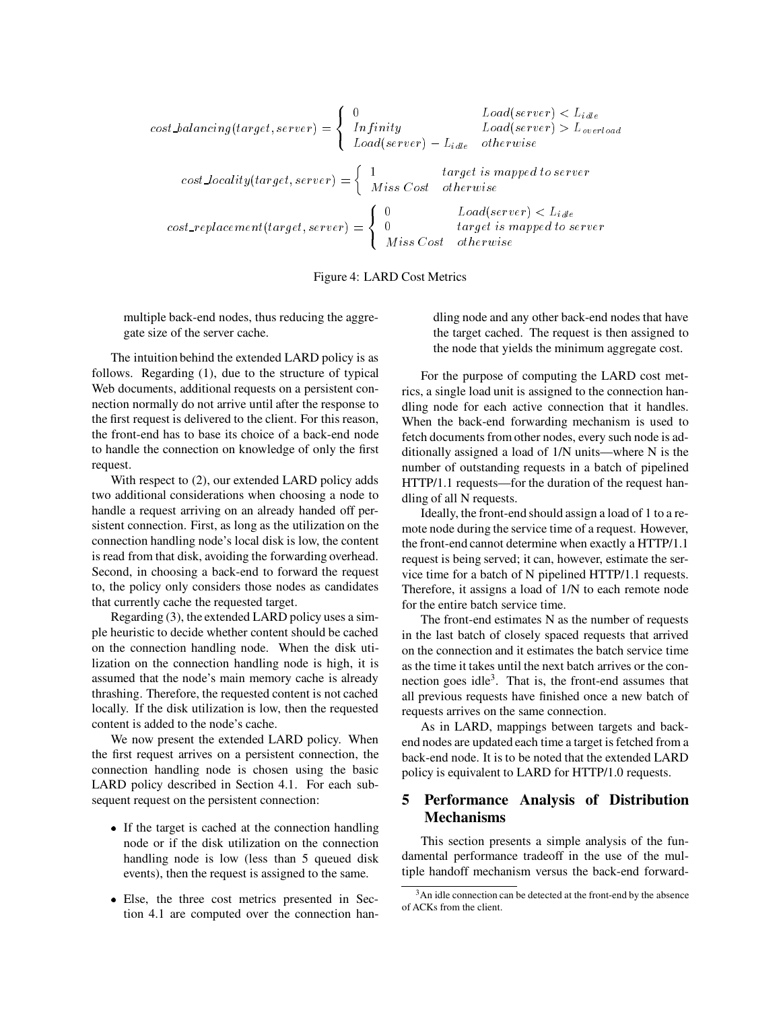$$
cost\_balancing(target, server) = \begin{cases} 0 & Load(server) < L_{idle} \\ Infinity & Load(server) > L_{overload} \\ Load(server) > L_{overload} \end{cases}
$$
\n
$$
cost\_locality(target, server) = \begin{cases} 1 & target \text{ is mapped to server} \\ \text{Miss Cost} & otherwise \end{cases}
$$
\n
$$
cost\_replacement(target, server) = \begin{cases} 0 & Load(server) < L_{idle} \\ 0 & Load(server) < L_{idle} \end{cases}
$$
\n
$$
cost\_replacement(target, server) = \begin{cases} 0 & Load(server) < L_{idle} \\ 0 & target \text{ is mapped to server} \end{cases}
$$

Figure 4: LARD Cost Metrics

multiple back-end nodes, thus reducing the aggregate size of the server cache.

The intuition behind the extended LARD policy is as follows. Regarding (1), due to the structure of typical Web documents, additional requests on a persistent connection normally do not arrive until after the response to the first request is delivered to the client. For this reason, the front-end has to base its choice of a back-end node to handle the connection on knowledge of only the first request.

With respect to (2), our extended LARD policy adds two additional considerations when choosing a node to handle a request arriving on an already handed off persistent connection. First, as long as the utilization on the connection handling node's local disk is low, the content is read from that disk, avoiding the forwarding overhead. Second, in choosing a back-end to forward the request to, the policy only considers those nodes as candidates that currently cache the requested target.

Regarding (3), the extended LARD policy uses a simple heuristic to decide whether content should be cached on the connection handling node. When the disk utilization on the connection handling node is high, it is assumed that the node's main memory cache is already thrashing. Therefore, the requested content is not cached locally. If the disk utilization is low, then the requested content is added to the node's cache.

We now present the extended LARD policy. When the first request arrives on a persistent connection, the connection handling node is chosen using the basic LARD policy described in Section 4.1. For each subsequent request on the persistent connection:

- If the target is cached at the connection handling node or if the disk utilization on the connection handling node is low (less than 5 queued disk events), then the request is assigned to the same.
- Else, the three cost metrics presented in Section 4.1 are computed over the connection han-

dling node and any other back-end nodes that have the target cached. The request is then assigned to the node that yields the minimum aggregate cost.

For the purpose of computing the LARD cost metrics, a single load unit is assigned to the connection handling node for each active connection that it handles. When the back-end forwarding mechanism is used to fetch documents from other nodes, every such node is additionally assigned a load of 1/N units—where N is the number of outstanding requests in a batch of pipelined HTTP/1.1 requests—for the duration of the request handling of all N requests.

Ideally, the front-end should assign a load of 1 to a remote node during the service time of a request. However, the front-end cannot determine when exactly a HTTP/1.1 request is being served; it can, however, estimate the service time for a batch of N pipelined HTTP/1.1 requests. Therefore, it assigns a load of 1/N to each remote node for the entire batch service time.

The front-end estimates N as the number of requests in the last batch of closely spaced requests that arrived on the connection and it estimates the batch service time as the time it takes until the next batch arrives or the connection goes idle3. That is, the front-end assumes that all previous requests have finished once a new batch of requests arrives on the same connection.

As in LARD, mappings between targets and backend nodes are updated each time a target is fetched from a back-end node. It is to be noted that the extended LARD policy is equivalent to LARD for HTTP/1.0 requests.

# **5 Performance Analysis of Distribution Mechanisms**

This section presents a simple analysis of the fundamental performance tradeoff in the use of the multiple handoff mechanism versus the back-end forward-

<sup>&</sup>lt;sup>3</sup>An idle connection can be detected at the front-end by the absence of ACKs from the client.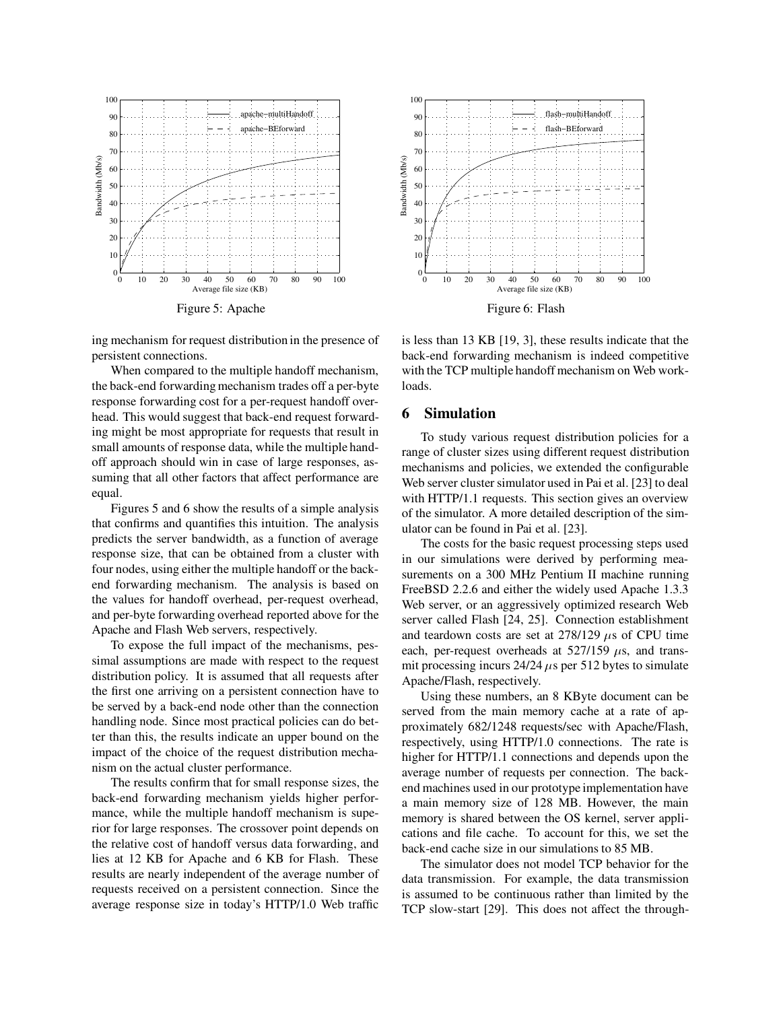

Figure 5: Apache

ing mechanism for request distribution in the presence of persistent connections.

When compared to the multiple handoff mechanism, the back-end forwarding mechanism trades off a per-byte response forwarding cost for a per-request handoff overhead. This would suggest that back-end request forwarding might be most appropriate for requests that result in small amounts of response data, while the multiple handoff approach should win in case of large responses, assuming that all other factors that affect performance are equal.

Figures 5 and 6 show the results of a simple analysis that confirms and quantifies this intuition. The analysis predicts the server bandwidth, as a function of average response size, that can be obtained from a cluster with four nodes, using either the multiple handoff or the backend forwarding mechanism. The analysis is based on the values for handoff overhead, per-request overhead, and per-byte forwarding overhead reported above for the Apache and Flash Web servers, respectively.

To expose the full impact of the mechanisms, pessimal assumptions are made with respect to the request distribution policy. It is assumed that all requests after the first one arriving on a persistent connection have to be served by a back-end node other than the connection handling node. Since most practical policies can do better than this, the results indicate an upper bound on the impact of the choice of the request distribution mechanism on the actual cluster performance.

The results confirm that for small response sizes, the back-end forwarding mechanism yields higher performance, while the multiple handoff mechanism is superior for large responses. The crossover point depends on the relative cost of handoff versus data forwarding, and lies at 12 KB for Apache and 6 KB for Flash. These results are nearly independent of the average number of requests received on a persistent connection. Since the average response size in today's HTTP/1.0 Web traffic



is less than 13 KB [19, 3], these results indicate that the back-end forwarding mechanism is indeed competitive with the TCP multiple handoff mechanism on Web workloads.

# **6 Simulation**

To study various request distribution policies for a range of cluster sizes using different request distribution mechanisms and policies, we extended the configurable Web server cluster simulator used in Pai et al. [23] to deal with HTTP/1.1 requests. This section gives an overview of the simulator. A more detailed description of the simulator can be found in Pai et al. [23].

The costs for the basic request processing steps used in our simulations were derived by performing measurements on a 300 MHz Pentium II machine running FreeBSD 2.2.6 and either the widely used Apache 1.3.3 Web server, or an aggressively optimized research Web server called Flash [24, 25]. Connection establishment and teardown costs are set at  $278/129 \mu s$  of CPU time each, per-request overheads at  $527/159 \mu s$ , and transmit processing incurs  $24/24 \mu s$  per 512 bytes to simulate Apache/Flash, respectively.

Using these numbers, an 8 KByte document can be served from the main memory cache at a rate of approximately 682/1248 requests/sec with Apache/Flash, respectively, using HTTP/1.0 connections. The rate is higher for HTTP/1.1 connections and depends upon the average number of requests per connection. The backend machines used in our prototype implementation have a main memory size of 128 MB. However, the main memory is shared between the OS kernel, server applications and file cache. To account for this, we set the back-end cache size in our simulations to 85 MB.

The simulator does not model TCP behavior for the data transmission. For example, the data transmission is assumed to be continuous rather than limited by the TCP slow-start [29]. This does not affect the through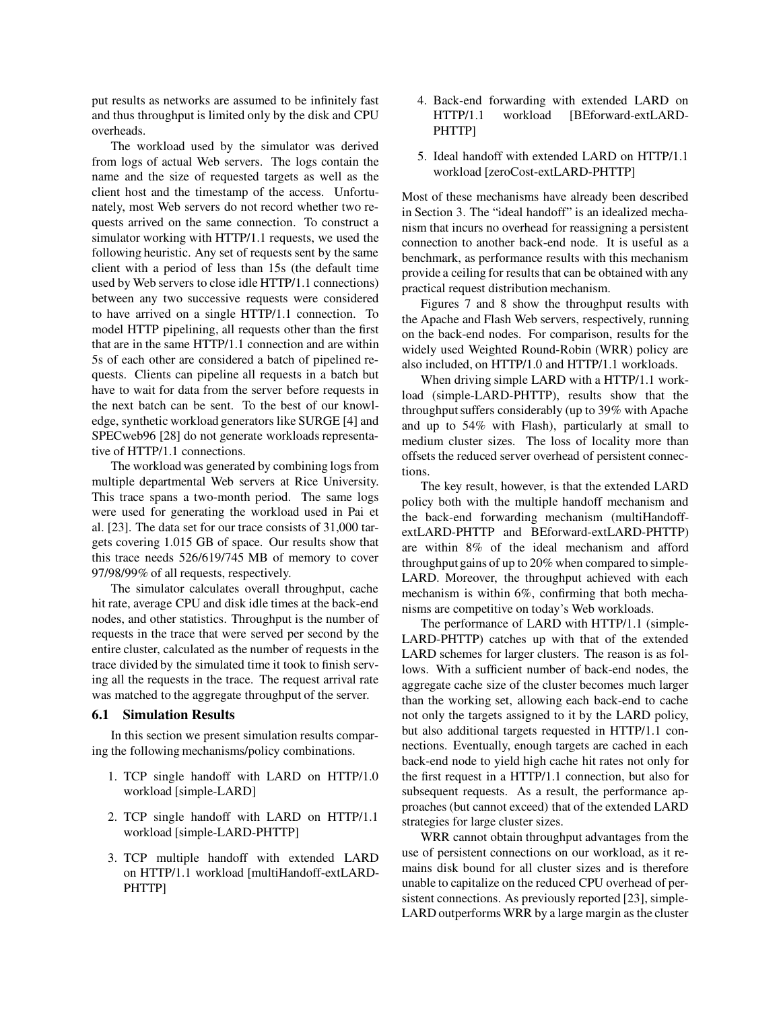put results as networks are assumed to be infinitely fast and thus throughput is limited only by the disk and CPU overheads.

The workload used by the simulator was derived from logs of actual Web servers. The logs contain the name and the size of requested targets as well as the client host and the timestamp of the access. Unfortunately, most Web servers do not record whether two requests arrived on the same connection. To construct a simulator working with HTTP/1.1 requests, we used the following heuristic. Any set of requests sent by the same client with a period of less than 15s (the default time used by Web servers to close idle HTTP/1.1 connections) between any two successive requests were considered to have arrived on a single HTTP/1.1 connection. To model HTTP pipelining, all requests other than the first that are in the same HTTP/1.1 connection and are within 5s of each other are considered a batch of pipelined requests. Clients can pipeline all requests in a batch but have to wait for data from the server before requests in the next batch can be sent. To the best of our knowledge, synthetic workload generators like SURGE [4] and SPECweb96 [28] do not generate workloads representative of HTTP/1.1 connections.

The workload was generated by combining logs from multiple departmental Web servers at Rice University. This trace spans a two-month period. The same logs were used for generating the workload used in Pai et al. [23]. The data set for our trace consists of 31,000 targets covering 1.015 GB of space. Our results show that this trace needs 526/619/745 MB of memory to cover 97/98/99% of all requests, respectively.

The simulator calculates overall throughput, cache hit rate, average CPU and disk idle times at the back-end nodes, and other statistics. Throughput is the number of requests in the trace that were served per second by the entire cluster, calculated as the number of requests in the trace divided by the simulated time it took to finish serving all the requests in the trace. The request arrival rate was matched to the aggregate throughput of the server.

### **6.1 Simulation Results**

In this section we present simulation results comparing the following mechanisms/policy combinations.

- 1. TCP single handoff with LARD on HTTP/1.0 workload [simple-LARD]
- 2. TCP single handoff with LARD on HTTP/1.1 workload [simple-LARD-PHTTP]
- 3. TCP multiple handoff with extended LARD on HTTP/1.1 workload [multiHandoff-extLARD-PHTTP]
- 4. Back-end forwarding with extended LARD on HTTP/1.1 workload [BEforward-extLARD-PHTTP]
- 5. Ideal handoff with extended LARD on HTTP/1.1 workload [zeroCost-extLARD-PHTTP]

Most of these mechanisms have already been described in Section 3. The "ideal handoff" is an idealized mechanism that incurs no overhead for reassigning a persistent connection to another back-end node. It is useful as a benchmark, as performance results with this mechanism provide a ceiling for results that can be obtained with any practical request distribution mechanism.

Figures 7 and 8 show the throughput results with the Apache and Flash Web servers, respectively, running on the back-end nodes. For comparison, results for the widely used Weighted Round-Robin (WRR) policy are also included, on HTTP/1.0 and HTTP/1.1 workloads.

When driving simple LARD with a HTTP/1.1 workload (simple-LARD-PHTTP), results show that the throughput suffers considerably (up to 39% with Apache and up to 54% with Flash), particularly at small to medium cluster sizes. The loss of locality more than offsets the reduced server overhead of persistent connections.

The key result, however, is that the extended LARD policy both with the multiple handoff mechanism and the back-end forwarding mechanism (multiHandoffextLARD-PHTTP and BEforward-extLARD-PHTTP) are within 8% of the ideal mechanism and afford throughput gains of up to 20% when compared to simple-LARD. Moreover, the throughput achieved with each mechanism is within 6%, confirming that both mechanisms are competitive on today's Web workloads.

The performance of LARD with HTTP/1.1 (simple-LARD-PHTTP) catches up with that of the extended LARD schemes for larger clusters. The reason is as follows. With a sufficient number of back-end nodes, the aggregate cache size of the cluster becomes much larger than the working set, allowing each back-end to cache not only the targets assigned to it by the LARD policy, but also additional targets requested in HTTP/1.1 connections. Eventually, enough targets are cached in each back-end node to yield high cache hit rates not only for the first request in a HTTP/1.1 connection, but also for subsequent requests. As a result, the performance approaches (but cannot exceed) that of the extended LARD strategies for large cluster sizes.

WRR cannot obtain throughput advantages from the use of persistent connections on our workload, as it remains disk bound for all cluster sizes and is therefore unable to capitalize on the reduced CPU overhead of persistent connections. As previously reported [23], simple-LARD outperforms WRR by a large margin as the cluster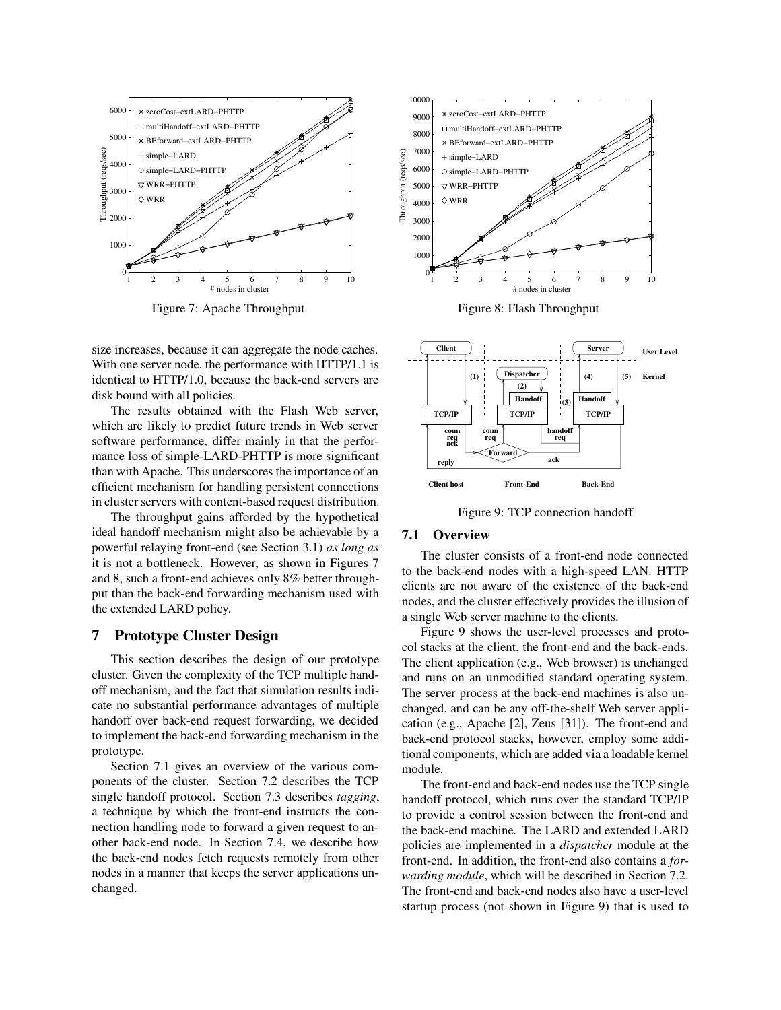

Figure 7: Apache Throughput

size increases, because it can aggregate the node caches. With one server node, the performance with HTTP/1.1 is identical to HTTP/1.0, because the back-end servers are disk bound with all policies.

The results obtained with the Flash Web server, which are likely to predict future trends in Web server software performance, differ mainly in that the performance loss of simple-LARD-PHTTP is more significant than with Apache. This underscores the importance of an efficient mechanism for handling persistent connections in cluster servers with content-based request distribution.

The throughput gains afforded by the hypothetical ideal handoff mechanism might also be achievable by a powerful relaying front-end (see Section 3.1) *as long as* it is not a bottleneck. However, as shown in Figures 7 and 8, such a front-end achieves only 8% better throughput than the back-end forwarding mechanism used with the extended LARD policy.

# **7 Prototype Cluster Design**

This section describes the design of our prototype cluster. Given the complexity of the TCP multiple handoff mechanism, and the fact that simulation results indicate no substantial performance advantages of multiple handoff over back-end request forwarding, we decided to implement the back-end forwarding mechanism in the prototype.

Section 7.1 gives an overview of the various components of the cluster. Section 7.2 describes the TCP single handoff protocol. Section 7.3 describes *tagging*, a technique by which the front-end instructs the connection handling node to forward a given request to another back-end node. In Section 7.4, we describe how the back-end nodes fetch requests remotely from other nodes in a manner that keeps the server applications unchanged.



Figure 8: Flash Throughput



Figure 9: TCP connection handoff

# **7.1 Overview**

The cluster consists of a front-end node connected to the back-end nodes with a high-speed LAN. HTTP clients are not aware of the existence of the back-end nodes, and the cluster effectively provides the illusion of a single Web server machine to the clients.

Figure 9 shows the user-level processes and protocol stacks at the client, the front-end and the back-ends. The client application (e.g., Web browser) is unchanged and runs on an unmodified standard operating system. The server process at the back-end machines is also unchanged, and can be any off-the-shelf Web server application (e.g., Apache [2], Zeus [31]). The front-end and back-end protocol stacks, however, employ some additional components, which are added via a loadable kernel module.

The front-end and back-end nodes use the TCP single handoff protocol, which runs over the standard TCP/IP to provide a control session between the front-end and the back-end machine. The LARD and extended LARD policies are implemented in a *dispatcher* module at the front-end. In addition, the front-end also contains a *forwarding module*, which will be described in Section 7.2. The front-end and back-end nodes also have a user-level startup process (not shown in Figure 9) that is used to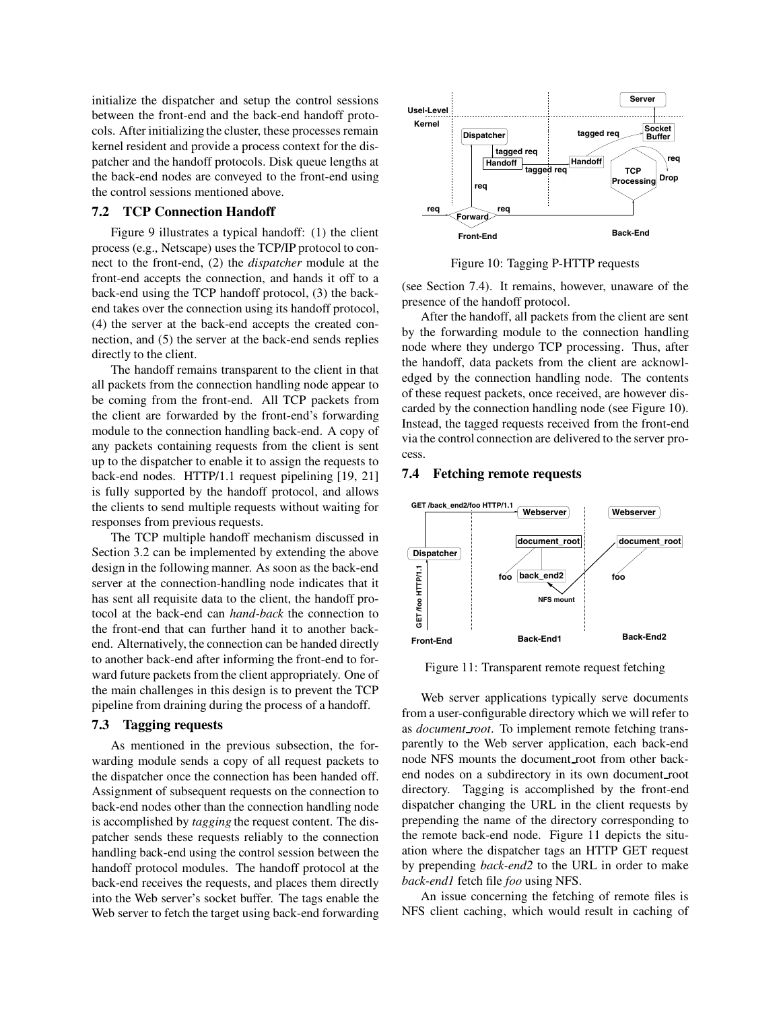initialize the dispatcher and setup the control sessions between the front-end and the back-end handoff protocols. After initializing the cluster, these processes remain kernel resident and provide a process context for the dispatcher and the handoff protocols. Disk queue lengths at the back-end nodes are conveyed to the front-end using the control sessions mentioned above.

### **7.2 TCP Connection Handoff**

Figure 9 illustrates a typical handoff: (1) the client process (e.g., Netscape) uses the TCP/IP protocol to connect to the front-end, (2) the *dispatcher* module at the front-end accepts the connection, and hands it off to a back-end using the TCP handoff protocol, (3) the backend takes over the connection using its handoff protocol, (4) the server at the back-end accepts the created connection, and (5) the server at the back-end sends replies directly to the client.

The handoff remains transparent to the client in that all packets from the connection handling node appear to be coming from the front-end. All TCP packets from the client are forwarded by the front-end's forwarding module to the connection handling back-end. A copy of any packets containing requests from the client is sent up to the dispatcher to enable it to assign the requests to back-end nodes. HTTP/1.1 request pipelining [19, 21] is fully supported by the handoff protocol, and allows the clients to send multiple requests without waiting for responses from previous requests.

The TCP multiple handoff mechanism discussed in Section 3.2 can be implemented by extending the above design in the following manner. As soon as the back-end server at the connection-handling node indicates that it has sent all requisite data to the client, the handoff protocol at the back-end can *hand-back* the connection to the front-end that can further hand it to another backend. Alternatively, the connection can be handed directly to another back-end after informing the front-end to forward future packets from the client appropriately. One of the main challenges in this design is to prevent the TCP pipeline from draining during the process of a handoff.

### **7.3 Tagging requests**

As mentioned in the previous subsection, the forwarding module sends a copy of all request packets to the dispatcher once the connection has been handed off. Assignment of subsequent requests on the connection to back-end nodes other than the connection handling node is accomplished by *tagging* the request content. The dispatcher sends these requests reliably to the connection handling back-end using the control session between the handoff protocol modules. The handoff protocol at the back-end receives the requests, and places them directly into the Web server's socket buffer. The tags enable the Web server to fetch the target using back-end forwarding



Figure 10: Tagging P-HTTP requests

(see Section 7.4). It remains, however, unaware of the presence of the handoff protocol.

After the handoff, all packets from the client are sent by the forwarding module to the connection handling node where they undergo TCP processing. Thus, after the handoff, data packets from the client are acknowledged by the connection handling node. The contents of these request packets, once received, are however discarded by the connection handling node (see Figure 10). Instead, the tagged requests received from the front-end via the control connection are delivered to the server process.

### **7.4 Fetching remote requests**



Figure 11: Transparent remote request fetching

Web server applications typically serve documents from a user-configurable directory which we will refer to as *document root*. To implement remote fetching transparently to the Web server application, each back-end node NFS mounts the document root from other backend nodes on a subdirectory in its own document root directory. Tagging is accomplished by the front-end dispatcher changing the URL in the client requests by prepending the name of the directory corresponding to the remote back-end node. Figure 11 depicts the situation where the dispatcher tags an HTTP GET request by prepending *back-end2* to the URL in order to make *back-end1* fetch file *foo* using NFS.

An issue concerning the fetching of remote files is NFS client caching, which would result in caching of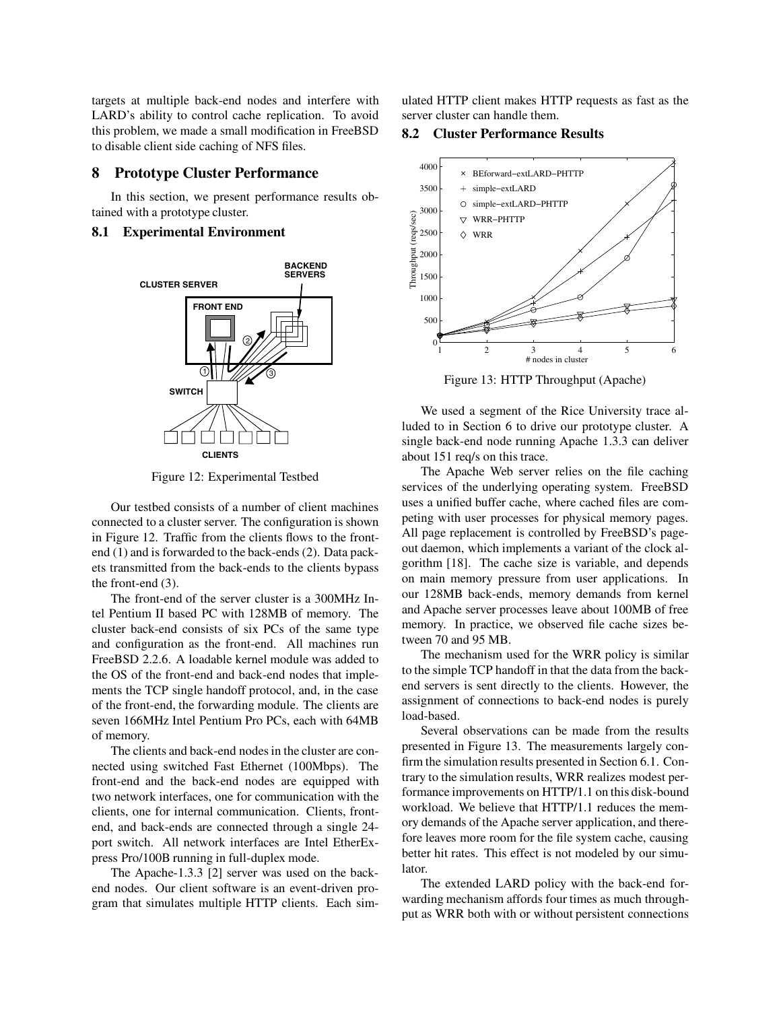targets at multiple back-end nodes and interfere with LARD's ability to control cache replication. To avoid this problem, we made a small modification in FreeBSD to disable client side caching of NFS files.

## **8 Prototype Cluster Performance**

In this section, we present performance results obtained with a prototype cluster.

# **8.1 Experimental Environment**



Figure 12: Experimental Testbed

Our testbed consists of a number of client machines connected to a cluster server. The configuration is shown in Figure 12. Traffic from the clients flows to the frontend (1) and is forwarded to the back-ends (2). Data packets transmitted from the back-ends to the clients bypass the front-end (3).

The front-end of the server cluster is a 300MHz Intel Pentium II based PC with 128MB of memory. The cluster back-end consists of six PCs of the same type and configuration as the front-end. All machines run FreeBSD 2.2.6. A loadable kernel module was added to the OS of the front-end and back-end nodes that implements the TCP single handoff protocol, and, in the case of the front-end, the forwarding module. The clients are seven 166MHz Intel Pentium Pro PCs, each with 64MB of memory.

The clients and back-end nodes in the cluster are connected using switched Fast Ethernet (100Mbps). The front-end and the back-end nodes are equipped with two network interfaces, one for communication with the clients, one for internal communication. Clients, frontend, and back-ends are connected through a single 24 port switch. All network interfaces are Intel EtherExpress Pro/100B running in full-duplex mode.

The Apache-1.3.3 [2] server was used on the backend nodes. Our client software is an event-driven program that simulates multiple HTTP clients. Each simulated HTTP client makes HTTP requests as fast as the server cluster can handle them.

**8.2 Cluster Performance Results**



Figure 13: HTTP Throughput (Apache)

We used a segment of the Rice University trace alluded to in Section 6 to drive our prototype cluster. A single back-end node running Apache 1.3.3 can deliver about 151 req/s on this trace.

The Apache Web server relies on the file caching services of the underlying operating system. FreeBSD uses a unified buffer cache, where cached files are competing with user processes for physical memory pages. All page replacement is controlled by FreeBSD's pageout daemon, which implements a variant of the clock algorithm [18]. The cache size is variable, and depends on main memory pressure from user applications. In our 128MB back-ends, memory demands from kernel and Apache server processes leave about 100MB of free memory. In practice, we observed file cache sizes between 70 and 95 MB.

The mechanism used for the WRR policy is similar to the simple TCP handoff in that the data from the backend servers is sent directly to the clients. However, the assignment of connections to back-end nodes is purely load-based.

Several observations can be made from the results presented in Figure 13. The measurements largely confirm the simulation results presented in Section 6.1. Contrary to the simulation results, WRR realizes modest performance improvements on HTTP/1.1 on this disk-bound workload. We believe that HTTP/1.1 reduces the memory demands of the Apache server application, and therefore leaves more room for the file system cache, causing better hit rates. This effect is not modeled by our simulator.

The extended LARD policy with the back-end forwarding mechanism affords four times as much throughput as WRR both with or without persistent connections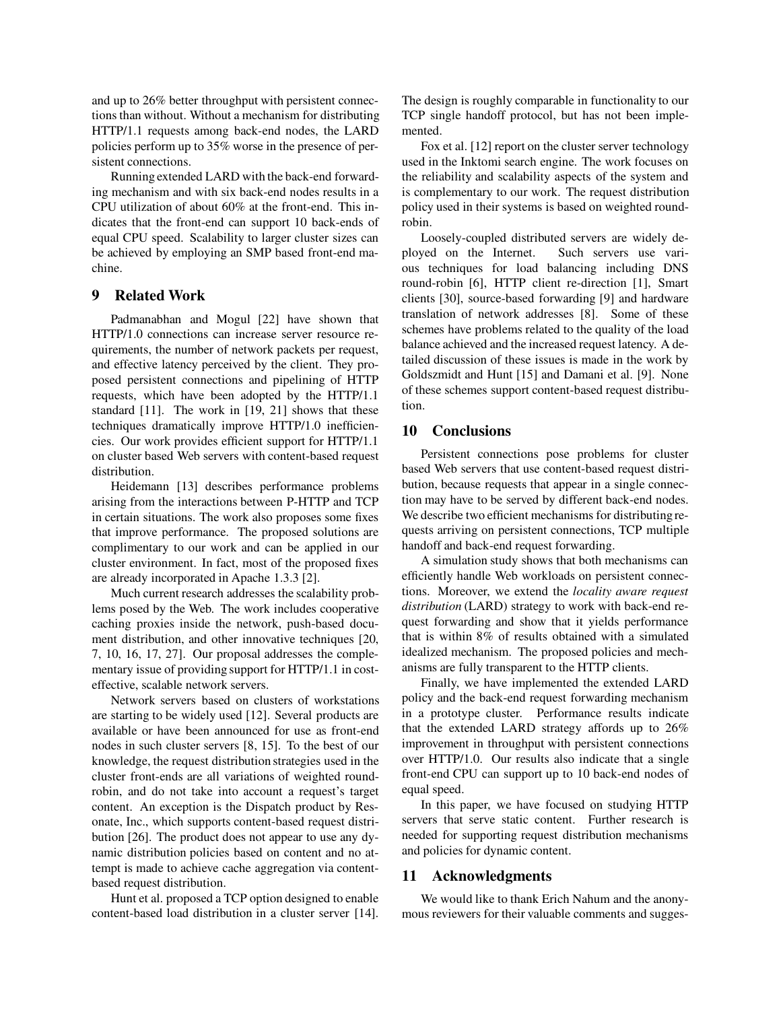and up to 26% better throughput with persistent connections than without. Without a mechanism for distributing HTTP/1.1 requests among back-end nodes, the LARD policies perform up to 35% worse in the presence of persistent connections.

Running extended LARD with the back-end forwarding mechanism and with six back-end nodes results in a CPU utilization of about 60% at the front-end. This indicates that the front-end can support 10 back-ends of equal CPU speed. Scalability to larger cluster sizes can be achieved by employing an SMP based front-end machine.

## **9 Related Work**

Padmanabhan and Mogul [22] have shown that HTTP/1.0 connections can increase server resource requirements, the number of network packets per request, and effective latency perceived by the client. They proposed persistent connections and pipelining of HTTP requests, which have been adopted by the HTTP/1.1 standard [11]. The work in [19, 21] shows that these techniques dramatically improve HTTP/1.0 inefficiencies. Our work provides efficient support for HTTP/1.1 on cluster based Web servers with content-based request distribution.

Heidemann [13] describes performance problems arising from the interactions between P-HTTP and TCP in certain situations. The work also proposes some fixes that improve performance. The proposed solutions are complimentary to our work and can be applied in our cluster environment. In fact, most of the proposed fixes are already incorporated in Apache 1.3.3 [2].

Much current research addresses the scalability problems posed by the Web. The work includes cooperative caching proxies inside the network, push-based document distribution, and other innovative techniques [20, 7, 10, 16, 17, 27]. Our proposal addresses the complementary issue of providing support for HTTP/1.1 in costeffective, scalable network servers.

Network servers based on clusters of workstations are starting to be widely used [12]. Several products are available or have been announced for use as front-end nodes in such cluster servers [8, 15]. To the best of our knowledge, the request distribution strategies used in the cluster front-ends are all variations of weighted roundrobin, and do not take into account a request's target content. An exception is the Dispatch product by Resonate, Inc., which supports content-based request distribution [26]. The product does not appear to use any dynamic distribution policies based on content and no attempt is made to achieve cache aggregation via contentbased request distribution.

Hunt et al. proposed a TCP option designed to enable content-based load distribution in a cluster server [14]. The design is roughly comparable in functionality to our TCP single handoff protocol, but has not been implemented.

Fox et al. [12] report on the cluster server technology used in the Inktomi search engine. The work focuses on the reliability and scalability aspects of the system and is complementary to our work. The request distribution policy used in their systems is based on weighted roundrobin.

Loosely-coupled distributed servers are widely deployed on the Internet. Such servers use various techniques for load balancing including DNS round-robin [6], HTTP client re-direction [1], Smart clients [30], source-based forwarding [9] and hardware translation of network addresses [8]. Some of these schemes have problems related to the quality of the load balance achieved and the increased request latency. A detailed discussion of these issues is made in the work by Goldszmidt and Hunt [15] and Damani et al. [9]. None of these schemes support content-based request distribution.

# **10 Conclusions**

Persistent connections pose problems for cluster based Web servers that use content-based request distribution, because requests that appear in a single connection may have to be served by different back-end nodes. We describe two efficient mechanisms for distributing requests arriving on persistent connections, TCP multiple handoff and back-end request forwarding.

A simulation study shows that both mechanisms can efficiently handle Web workloads on persistent connections. Moreover, we extend the *locality aware request distribution* (LARD) strategy to work with back-end request forwarding and show that it yields performance that is within 8% of results obtained with a simulated idealized mechanism. The proposed policies and mechanisms are fully transparent to the HTTP clients.

Finally, we have implemented the extended LARD policy and the back-end request forwarding mechanism in a prototype cluster. Performance results indicate that the extended LARD strategy affords up to 26% improvement in throughput with persistent connections over HTTP/1.0. Our results also indicate that a single front-end CPU can support up to 10 back-end nodes of equal speed.

In this paper, we have focused on studying HTTP servers that serve static content. Further research is needed for supporting request distribution mechanisms and policies for dynamic content.

# **11 Acknowledgments**

We would like to thank Erich Nahum and the anonymous reviewers for their valuable comments and sugges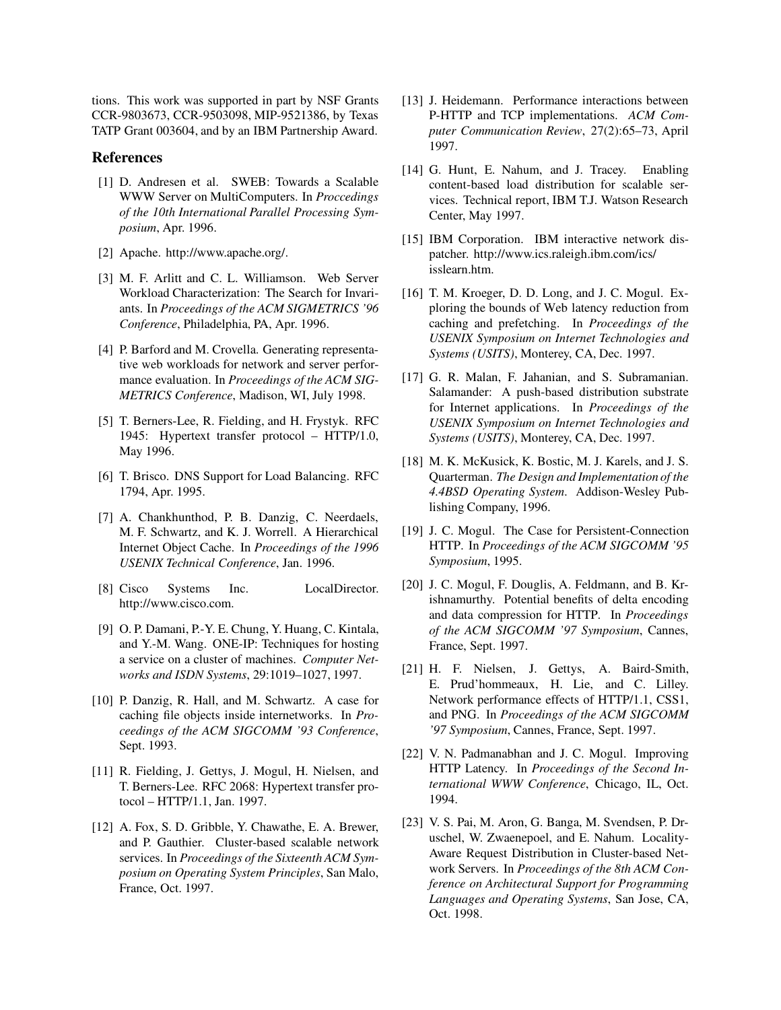tions. This work was supported in part by NSF Grants CCR-9803673, CCR-9503098, MIP-9521386, by Texas TATP Grant 003604, and by an IBM Partnership Award.

## **References**

- [1] D. Andresen et al. SWEB: Towards a Scalable WWW Server on MultiComputers. In *Proccedings of the 10th International Parallel Processing Symposium*, Apr. 1996.
- [2] Apache. http://www.apache.org/.
- [3] M. F. Arlitt and C. L. Williamson. Web Server Workload Characterization: The Search for Invariants. In *Proceedings of the ACM SIGMETRICS '96 Conference*, Philadelphia, PA, Apr. 1996.
- [4] P. Barford and M. Crovella. Generating representative web workloads for network and server performance evaluation. In *Proceedings of the ACM SIG-METRICS Conference*, Madison, WI, July 1998.
- [5] T. Berners-Lee, R. Fielding, and H. Frystyk. RFC 1945: Hypertext transfer protocol – HTTP/1.0, May 1996.
- [6] T. Brisco. DNS Support for Load Balancing. RFC 1794, Apr. 1995.
- [7] A. Chankhunthod, P. B. Danzig, C. Neerdaels, M. F. Schwartz, and K. J. Worrell. A Hierarchical Internet Object Cache. In *Proceedings of the 1996 USENIX Technical Conference*, Jan. 1996.
- [8] Cisco Systems Inc. LocalDirector. http://www.cisco.com.
- [9] O. P. Damani, P.-Y. E. Chung, Y. Huang, C. Kintala, and Y.-M. Wang. ONE-IP: Techniques for hosting a service on a cluster of machines. *Computer Networks and ISDN Systems*, 29:1019–1027, 1997.
- [10] P. Danzig, R. Hall, and M. Schwartz. A case for caching file objects inside internetworks. In *Proceedings of the ACM SIGCOMM '93 Conference*, Sept. 1993.
- [11] R. Fielding, J. Gettys, J. Mogul, H. Nielsen, and T. Berners-Lee. RFC 2068: Hypertext transfer protocol – HTTP/1.1, Jan. 1997.
- [12] A. Fox, S. D. Gribble, Y. Chawathe, E. A. Brewer, and P. Gauthier. Cluster-based scalable network services. In *Proceedings of the Sixteenth ACM Symposium on Operating System Principles*, San Malo, France, Oct. 1997.
- [13] J. Heidemann. Performance interactions between P-HTTP and TCP implementations. *ACM Computer Communication Review*, 27(2):65–73, April 1997.
- [14] G. Hunt, E. Nahum, and J. Tracey. Enabling content-based load distribution for scalable services. Technical report, IBM T.J. Watson Research Center, May 1997.
- [15] IBM Corporation. IBM interactive network dispatcher. http://www.ics.raleigh.ibm.com/ics/ isslearn.htm.
- [16] T. M. Kroeger, D. D. Long, and J. C. Mogul. Exploring the bounds of Web latency reduction from caching and prefetching. In *Proceedings of the USENIX Symposium on Internet Technologies and Systems (USITS)*, Monterey, CA, Dec. 1997.
- [17] G. R. Malan, F. Jahanian, and S. Subramanian. Salamander: A push-based distribution substrate for Internet applications. In *Proceedings of the USENIX Symposium on Internet Technologies and Systems (USITS)*, Monterey, CA, Dec. 1997.
- [18] M. K. McKusick, K. Bostic, M. J. Karels, and J. S. Quarterman. *The Design and Implementation of the 4.4BSD Operating System*. Addison-Wesley Publishing Company, 1996.
- [19] J. C. Mogul. The Case for Persistent-Connection HTTP. In *Proceedings of the ACM SIGCOMM '95 Symposium*, 1995.
- [20] J. C. Mogul, F. Douglis, A. Feldmann, and B. Krishnamurthy. Potential benefits of delta encoding and data compression for HTTP. In *Proceedings of the ACM SIGCOMM '97 Symposium*, Cannes, France, Sept. 1997.
- [21] H. F. Nielsen, J. Gettys, A. Baird-Smith, E. Prud'hommeaux, H. Lie, and C. Lilley. Network performance effects of HTTP/1.1, CSS1, and PNG. In *Proceedings of the ACM SIGCOMM '97 Symposium*, Cannes, France, Sept. 1997.
- [22] V. N. Padmanabhan and J. C. Mogul. Improving HTTP Latency. In *Proceedings of the Second International WWW Conference*, Chicago, IL, Oct. 1994.
- [23] V. S. Pai, M. Aron, G. Banga, M. Svendsen, P. Druschel, W. Zwaenepoel, and E. Nahum. Locality-Aware Request Distribution in Cluster-based Network Servers. In *Proceedings of the 8th ACM Conference on Architectural Support for Programming Languages and Operating Systems*, San Jose, CA, Oct. 1998.